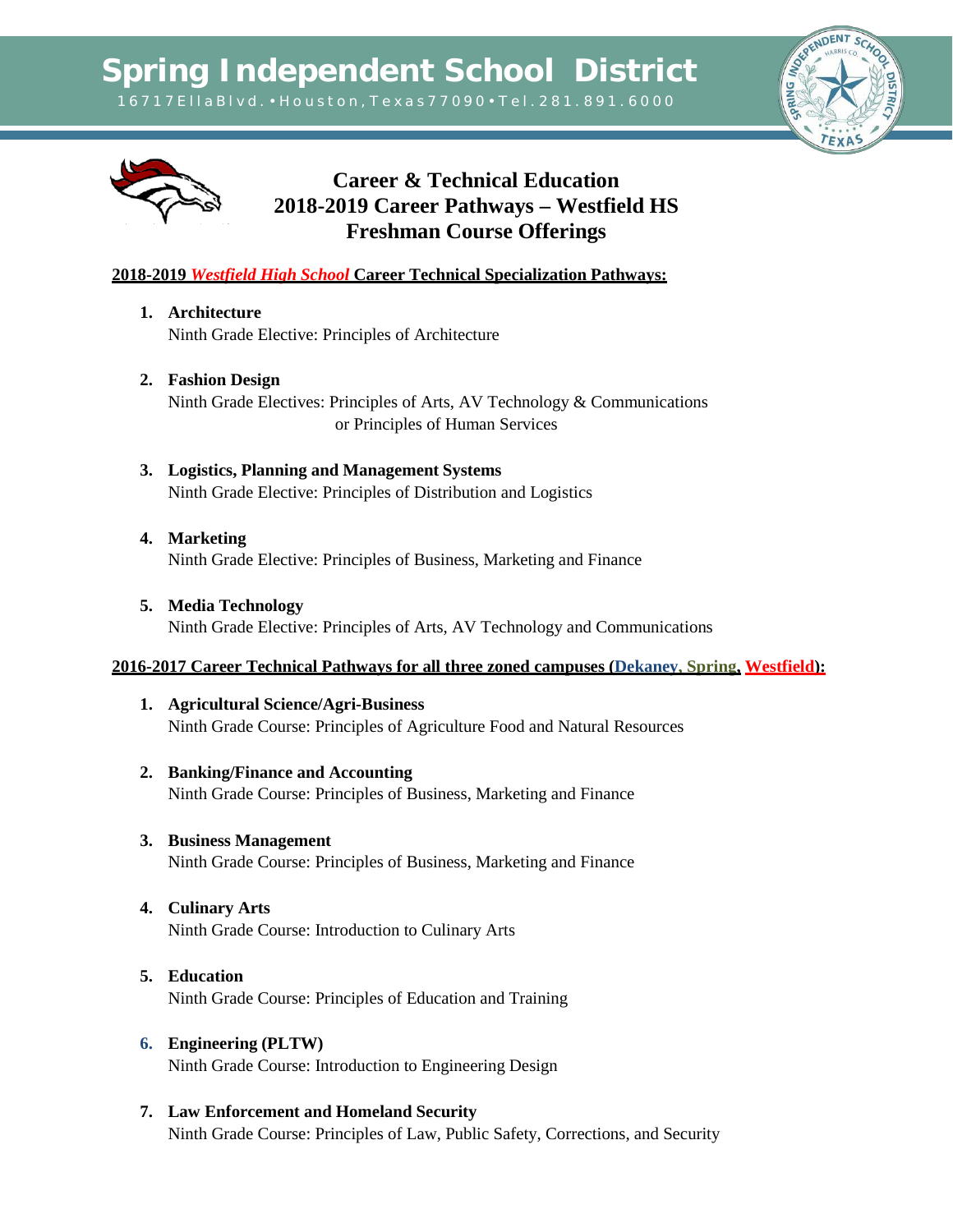



# **Career & Technical Education 2018-2019 Career Pathways – Westfield HS Freshman Course Offerings**

### **2018-2019** *Westfield High School* **Career Technical Specialization Pathways:**

- **1. Architecture**  Ninth Grade Elective: Principles of Architecture
- **2. Fashion Design** Ninth Grade Electives: Principles of Arts, AV Technology & Communications or Principles of Human Services
- **3. Logistics, Planning and Management Systems** Ninth Grade Elective: Principles of Distribution and Logistics
- **4. Marketing** Ninth Grade Elective: Principles of Business, Marketing and Finance
- **5. Media Technology** Ninth Grade Elective: Principles of Arts, AV Technology and Communications

#### **2016-2017 Career Technical Pathways for all three zoned campuses (Dekaney, Spring, Westfield):**

- **1. Agricultural Science/Agri-Business** Ninth Grade Course: Principles of Agriculture Food and Natural Resources
- **2. Banking/Finance and Accounting** Ninth Grade Course: Principles of Business, Marketing and Finance
- **3. Business Management** Ninth Grade Course: Principles of Business, Marketing and Finance
- **4. Culinary Arts** Ninth Grade Course: Introduction to Culinary Arts
- **5. Education** Ninth Grade Course: Principles of Education and Training
- **6. Engineering (PLTW)** Ninth Grade Course: Introduction to Engineering Design
- **7. Law Enforcement and Homeland Security** Ninth Grade Course: Principles of Law, Public Safety, Corrections, and Security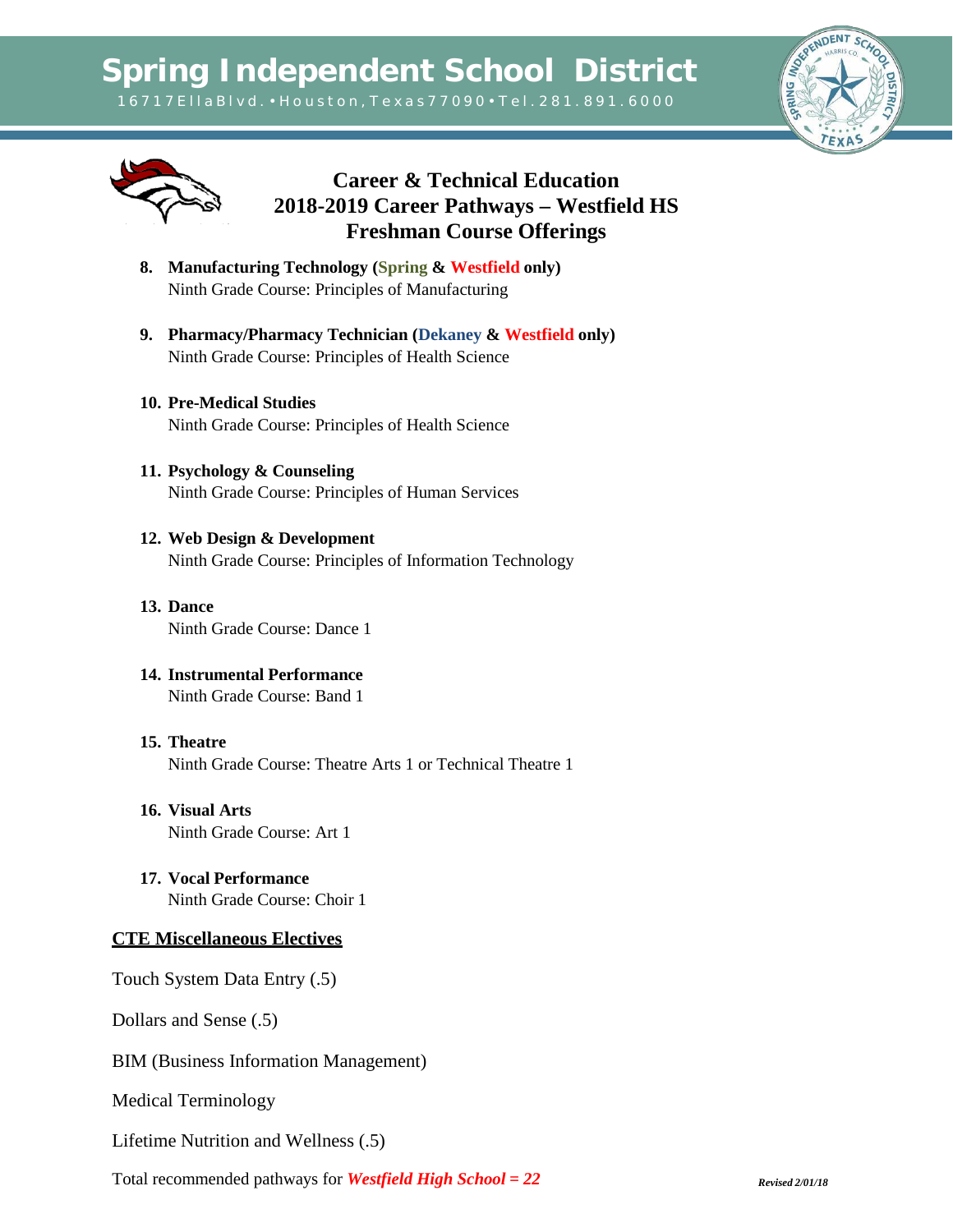**Spring Independent School District**

1 6 7 1 7 E l l a B l v d . • H o u s t o n , T e x a s 7 7 0 9 0 • T e l . 2 8 1 . 8 9 1 . 6 0 0 0





## **Career & Technical Education 2018-2019 Career Pathways – Westfield HS Freshman Course Offerings**

- **8. Manufacturing Technology (Spring & Westfield only)** Ninth Grade Course: Principles of Manufacturing
- **9. Pharmacy/Pharmacy Technician (Dekaney & Westfield only)** Ninth Grade Course: Principles of Health Science
- **10. Pre-Medical Studies** Ninth Grade Course: Principles of Health Science
- **11. Psychology & Counseling** Ninth Grade Course: Principles of Human Services
- **12. Web Design & Development** Ninth Grade Course: Principles of Information Technology
- **13. Dance** Ninth Grade Course: Dance 1
- **14. Instrumental Performance** Ninth Grade Course: Band 1
- **15. Theatre** Ninth Grade Course: Theatre Arts 1 or Technical Theatre 1
- **16. Visual Arts** Ninth Grade Course: Art 1
- **17. Vocal Performance** Ninth Grade Course: Choir 1

## **CTE Miscellaneous Electives**

Touch System Data Entry (.5)

Dollars and Sense (.5)

BIM (Business Information Management)

Medical Terminology

Lifetime Nutrition and Wellness (.5)

Total recommended pathways for *Westfield High School = 22 Revised 2/01/18*